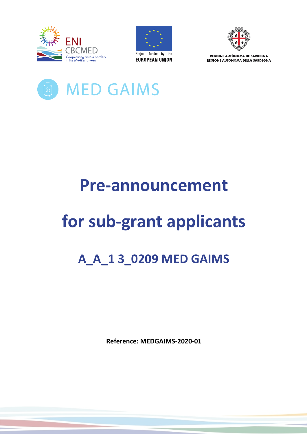





REGIONE AUTÒNOMA DE SARDIGNA **REGIONE AUTONOMA DELLA SARDEGNA** 



## **Pre-announcement**

# **for sub-grant applicants**

### **A\_A\_1 3\_0209 MED GAIMS**

**Reference: MEDGAIMS-2020-01**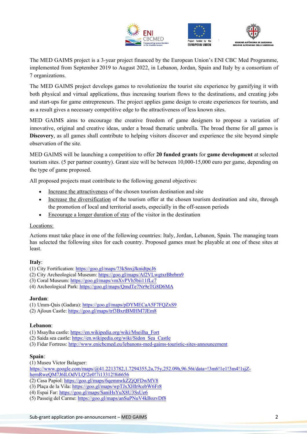





The MED GAIMS project is a 3-year project financed by the European Union's ENI CBC Med Programme, implemented from September 2019 to August 2022, in Lebanon, Jordan, Spain and Italy by a consortium of 7 organizations.

The MED GAIMS project develops games to revolutionize the tourist site experience by gamifying it with both physical and virtual applications, thus increasing tourism flows to the destinations, and creating jobs and start-ups for game entrepreneurs. The project applies game design to create experiences for tourists, and as a result gives a necessary competitive edge to the attractiveness of less known sites.

MED GAIMS aims to encourage the creative freedom of game designers to propose a variation of innovative, original and creative ideas, under a broad thematic umbrella. The broad theme for all games is **Discovery**, as all games shall contribute to helping visitors discover and experience the site beyond simple observation of the site.

MED GAIMS will be launching a competition to offer **20 funded grants** for **game development** at selected tourism sites. (5 per partner country). Grant size will be between 10,000-15,000 euro per game, depending on the type of game proposed.

All proposed projects must contribute to the following general objectives:

- Increase the attractiveness of the chosen tourism destination and site
- Increase the diversification of the tourism offer at the chosen tourism destination and site, through the promotion of local and territorial assets, especially in the off-season periods
- Encourage a longer duration of stay of the visitor in the destination

#### Locations:

Actions must take place in one of the following countries: Italy, Jordan, Lebanon, Spain. The managing team has selected the following sites for each country. Proposed games must be playable at one of these sites at least.

#### **Italy**:

(1) City Fortification: https://goo.gl/maps/73kSnxjJknidtpcJ6

- (2) City Archeological Museum: https://goo.gl/maps/Af2VLwgtxrBbrbrn9
- (3) Coral Museum: https://goo.gl/maps/vmXvPVh5bii11fLc7
- (4) Archeological Park: https://goo.gl/maps/QmdTe7Nr9eTG8D6MA

#### **Jordan**:

(1) Umm-Qais (Gadara): https://goo.gl/maps/pDYMECaA5F7FQZxS9

(2) Ajloun Castle: https://goo.gl/maps/trf3BxrtBMHM7JEm8

#### **Lebanon**:

- (1) Msaylha castle: https://en.wikipedia.org/wiki/Mseilha\_Fort
- (2) Saida sea castle: https://en.wikipedia.org/wiki/Sidon\_Sea\_Castle
- (3) Fidar Fortress: http://www.enicbcmed.eu/lebanons-med-gaims-touristic-sites-announcement

#### **Spain**:

(1) Museu Víctor Balaguer:

https://www.google.com/maps/@41.2213782,1.7294355,2a,75y,252.09h,96.56t/data=!3m6!1e1!3m4!1sjZhernRweQM7J6lLOdVLQ!2e0!7i13312!8i6656

- (2) Casa Papiol: https://goo.gl/maps/6qemnwkZZjQFDwMV8
- (3) Plaça de la Vila: https://goo.gl/maps/wpTJxXHh9cebW6Fr8
- (4) Espai Far: https://goo.gl/maps/SaniHsYuX8U3SsUe6
- (5) Passeig del Carme: https://goo.gl/maps/anSuPNuV4kBozvDf8